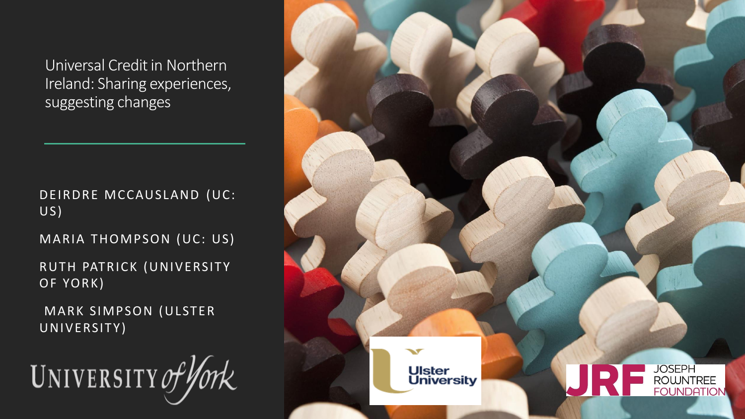Universal Credit in Northern Ireland: Sharing experiences, suggesting changes

DEIRDRE MCCAUSLAND (UC: US)

MARIA THOMPSON (UC: US)

RUTH PATRICK (UNIVERSITY OF YORK)

MARK SIMPSON (ULSTER UNIVERSITY)

UNIVERSITY of York

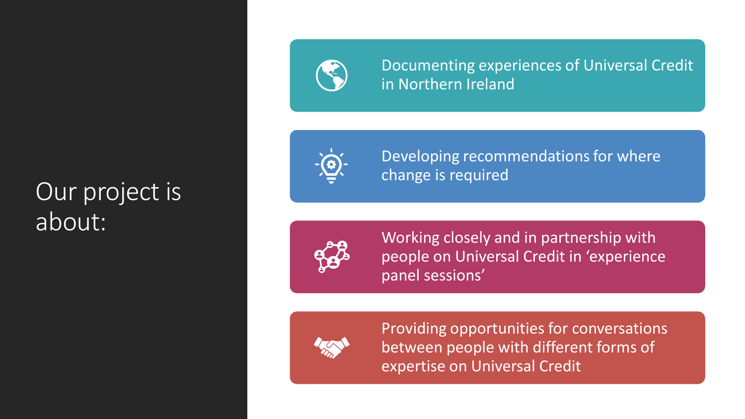#### Our project is about:



Documenting experiences of Universal Credit in Northern Ireland



Developing recommendations for where change is required



Working closely and in partnership with people on Universal Credit in 'experience panel sessions'



Providing opportunities for conversations between people with different forms of expertise on Universal Credit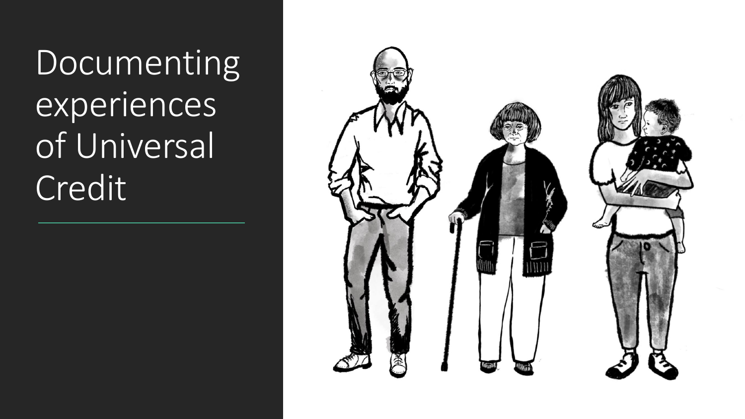Documenting experiences of Universal Credit

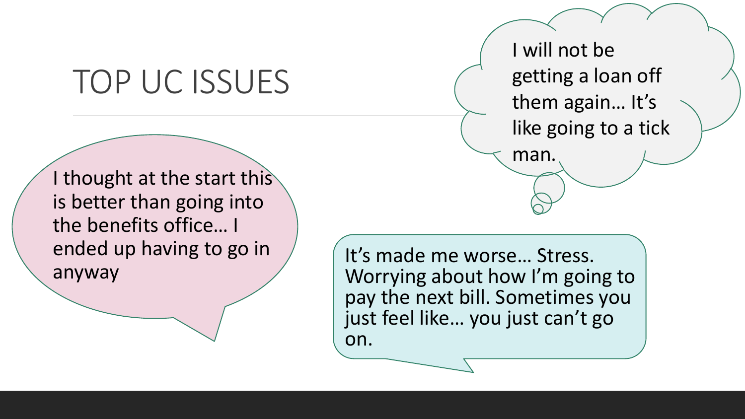## TOP UC ISSUES

I will not be getting a loan off them again… It's like going to a tick

man.

I thought at the start this is better than going into the benefits office… I ended up having to go in anyway

It's made me worse… Stress. Worrying about how I'm going to pay the next bill. Sometimes you just feel like… you just can't go on.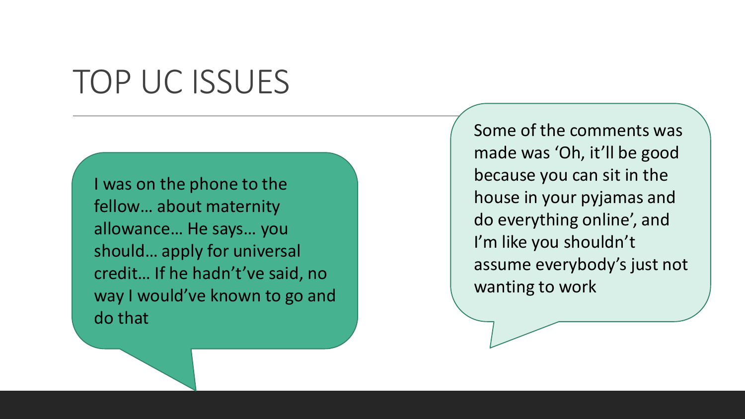## TOP UC ISSUES

I was on the phone to the fellow… about maternity allowance… He says… you should… apply for universal credit… If he hadn't've said, no way I would've known to go and do that

Some of the comments was made was 'Oh, it'll be good because you can sit in the house in your pyjamas and do everything online', and I'm like you shouldn't assume everybody's just not wanting to work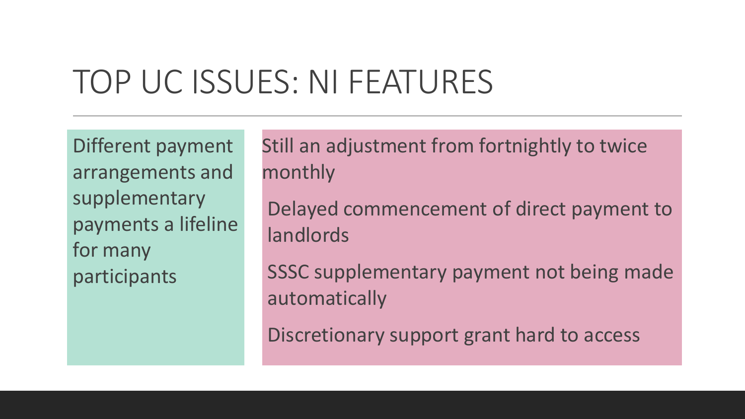## TOP UC ISSUES: NI FEATURES

Different payment arrangements and supplementary payments a lifeline for many participants

Still an adjustment from fortnightly to twice monthly

Delayed commencement of direct payment to landlords

SSSC supplementary payment not being made automatically

Discretionary support grant hard to access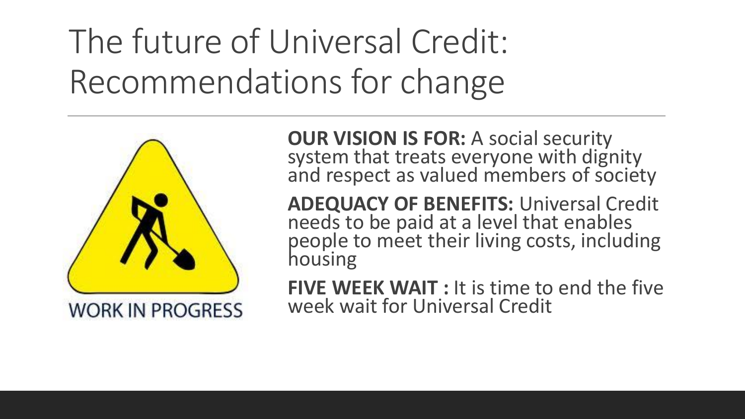# The future of Universal Credit: Recommendations for change



**OUR VISION IS FOR: A social security** system that treats everyone with dignity and respect as valued members of society

**ADEQUACY OF BENEFITS:** Universal Credit needs to be paid at a level that enables people to meet their living costs, including housing

**FIVE WEEK WAIT : It is time to end the five** week wait for Universal Credit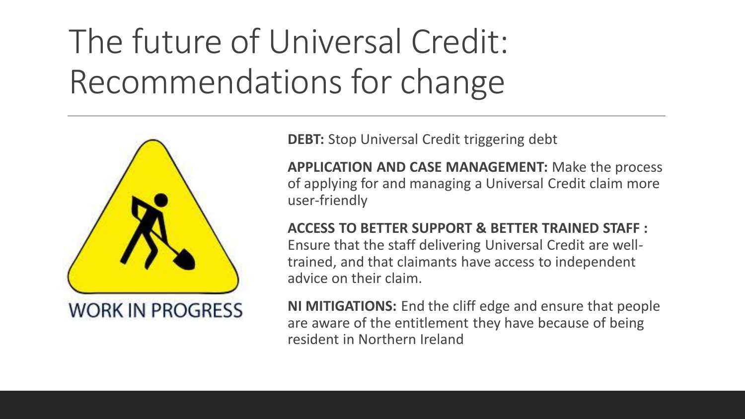# The future of Universal Credit: Recommendations for change



**DEBT:** Stop Universal Credit triggering debt

**APPLICATION AND CASE MANAGEMENT:** Make the process of applying for and managing a Universal Credit claim more user-friendly

#### **ACCESS TO BETTER SUPPORT & BETTER TRAINED STAFF :**

Ensure that the staff delivering Universal Credit are welltrained, and that claimants have access to independent advice on their claim.

**NI MITIGATIONS:** End the cliff edge and ensure that people are aware of the entitlement they have because of being resident in Northern Ireland